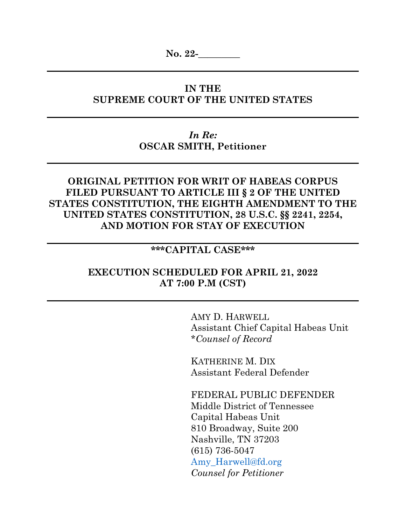**No. 22-\_\_\_\_\_\_\_\_\_**

# **IN THE SUPREME COURT OF THE UNITED STATES**

*In Re:* **OSCAR SMITH, Petitioner**

# **ORIGINAL PETITION FOR WRIT OF HABEAS CORPUS FILED PURSUANT TO ARTICLE III § 2 OF THE UNITED STATES CONSTITUTION, THE EIGHTH AMENDMENT TO THE UNITED STATES CONSTITUTION, 28 U.S.C. §§ 2241, 2254, AND MOTION FOR STAY OF EXECUTION**

# **\*\*\*CAPITAL CASE\*\*\***

## **EXECUTION SCHEDULED FOR APRIL 21, 2022 AT 7:00 P.M (CST)**

AMY D. HARWELL Assistant Chief Capital Habeas Unit \**Counsel of Record*

KATHERINE M. DIX Assistant Federal Defender

FEDERAL PUBLIC DEFENDER Middle District of Tennessee Capital Habeas Unit 810 Broadway, Suite 200 Nashville, TN 37203 (615) 736-5047 Amy\_Harwell@fd.org *Counsel for Petitioner*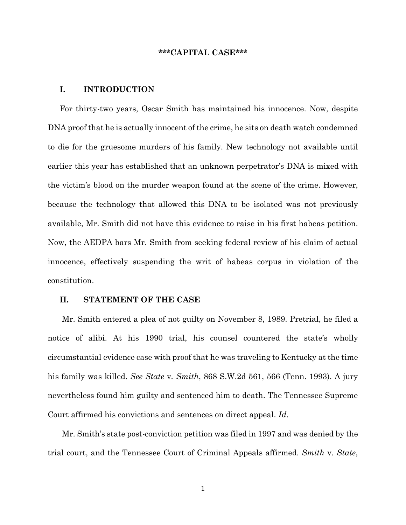#### **\*\*\*CAPITAL CASE\*\*\***

### **I. INTRODUCTION**

For thirty-two years, Oscar Smith has maintained his innocence. Now, despite DNA proof that he is actually innocent of the crime, he sits on death watch condemned to die for the gruesome murders of his family. New technology not available until earlier this year has established that an unknown perpetrator's DNA is mixed with the victim's blood on the murder weapon found at the scene of the crime. However, because the technology that allowed this DNA to be isolated was not previously available, Mr. Smith did not have this evidence to raise in his first habeas petition. Now, the AEDPA bars Mr. Smith from seeking federal review of his claim of actual innocence, effectively suspending the writ of habeas corpus in violation of the constitution.

### **II. STATEMENT OF THE CASE**

Mr. Smith entered a plea of not guilty on November 8, 1989. Pretrial, he filed a notice of alibi. At his 1990 trial, his counsel countered the state's wholly circumstantial evidence case with proof that he was traveling to Kentucky at the time his family was killed. *See State* v*. Smith*, 868 S.W.2d 561, 566 (Tenn. 1993). A jury nevertheless found him guilty and sentenced him to death. The Tennessee Supreme Court affirmed his convictions and sentences on direct appeal. *Id*.

Mr. Smith's state post-conviction petition was filed in 1997 and was denied by the trial court, and the Tennessee Court of Criminal Appeals affirmed. *Smith* v*. State*,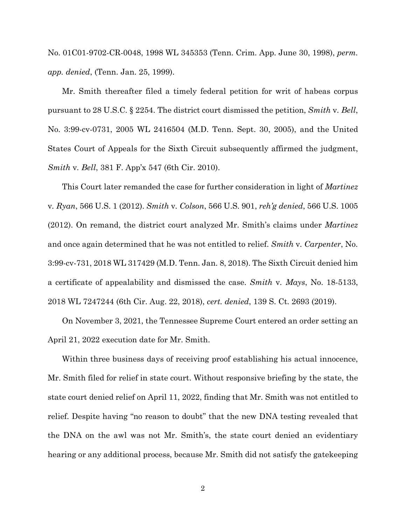No. 01C01-9702-CR-0048, 1998 WL 345353 (Tenn. Crim. App. June 30, 1998), *perm. app. denied*, (Tenn. Jan. 25, 1999).

Mr. Smith thereafter filed a timely federal petition for writ of habeas corpus pursuant to 28 U.S.C. § 2254. The district court dismissed the petition, *Smith* v*. Bell*, No. 3:99-cv-0731, 2005 WL 2416504 (M.D. Tenn. Sept. 30, 2005), and the United States Court of Appeals for the Sixth Circuit subsequently affirmed the judgment, *Smith* v*. Bell*, 381 F. App'x 547 (6th Cir. 2010).

This Court later remanded the case for further consideration in light of *Martinez*  v*. Ryan*, 566 U.S. 1 (2012). *Smith* v*. Colson*, 566 U.S. 901, *reh'g denied*, 566 U.S. 1005 (2012). On remand, the district court analyzed Mr. Smith's claims under *Martinez* and once again determined that he was not entitled to relief. *Smith* v*. Carpenter*, No. 3:99-cv-731, 2018 WL 317429 (M.D. Tenn. Jan. 8, 2018). The Sixth Circuit denied him a certificate of appealability and dismissed the case. *Smith* v*. Mays*, No. 18-5133, 2018 WL 7247244 (6th Cir. Aug. 22, 2018), *cert. denied*, 139 S. Ct. 2693 (2019).

On November 3, 2021, the Tennessee Supreme Court entered an order setting an April 21, 2022 execution date for Mr. Smith.

Within three business days of receiving proof establishing his actual innocence, Mr. Smith filed for relief in state court. Without responsive briefing by the state, the state court denied relief on April 11, 2022, finding that Mr. Smith was not entitled to relief. Despite having "no reason to doubt" that the new DNA testing revealed that the DNA on the awl was not Mr. Smith's, the state court denied an evidentiary hearing or any additional process, because Mr. Smith did not satisfy the gatekeeping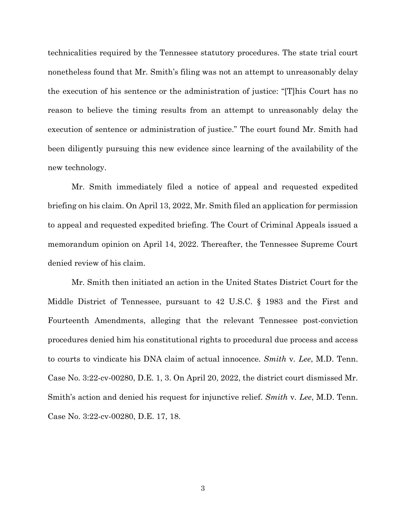technicalities required by the Tennessee statutory procedures. The state trial court nonetheless found that Mr. Smith's filing was not an attempt to unreasonably delay the execution of his sentence or the administration of justice: "[T]his Court has no reason to believe the timing results from an attempt to unreasonably delay the execution of sentence or administration of justice." The court found Mr. Smith had been diligently pursuing this new evidence since learning of the availability of the new technology.

Mr. Smith immediately filed a notice of appeal and requested expedited briefing on his claim. On April 13, 2022, Mr. Smith filed an application for permission to appeal and requested expedited briefing. The Court of Criminal Appeals issued a memorandum opinion on April 14, 2022. Thereafter, the Tennessee Supreme Court denied review of his claim.

Mr. Smith then initiated an action in the United States District Court for the Middle District of Tennessee, pursuant to 42 U.S.C. § 1983 and the First and Fourteenth Amendments, alleging that the relevant Tennessee post-conviction procedures denied him his constitutional rights to procedural due process and access to courts to vindicate his DNA claim of actual innocence. *Smith* v*. Lee*, M.D. Tenn. Case No. 3:22-cv-00280, D.E. 1, 3. On April 20, 2022, the district court dismissed Mr. Smith's action and denied his request for injunctive relief. *Smith* v*. Lee*, M.D. Tenn. Case No. 3:22-cv-00280, D.E. 17, 18.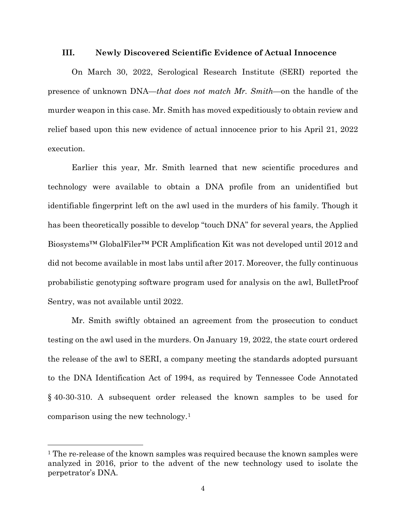#### **III. Newly Discovered Scientific Evidence of Actual Innocence**

On March 30, 2022, Serological Research Institute (SERI) reported the presence of unknown DNA—*that does not match Mr. Smith*—on the handle of the murder weapon in this case. Mr. Smith has moved expeditiously to obtain review and relief based upon this new evidence of actual innocence prior to his April 21, 2022 execution.

Earlier this year, Mr. Smith learned that new scientific procedures and technology were available to obtain a DNA profile from an unidentified but identifiable fingerprint left on the awl used in the murders of his family. Though it has been theoretically possible to develop "touch DNA" for several years, the Applied Biosystems™ GlobalFiler™ PCR Amplification Kit was not developed until 2012 and did not become available in most labs until after 2017. Moreover, the fully continuous probabilistic genotyping software program used for analysis on the awl, BulletProof Sentry, was not available until 2022.

Mr. Smith swiftly obtained an agreement from the prosecution to conduct testing on the awl used in the murders. On January 19, 2022, the state court ordered the release of the awl to SERI, a company meeting the standards adopted pursuant to the DNA Identification Act of 1994, as required by Tennessee Code Annotated § 40-30-310. A subsequent order released the known samples to be used for comparison using the new technology.1

<sup>&</sup>lt;sup>1</sup> The re-release of the known samples was required because the known samples were analyzed in 2016, prior to the advent of the new technology used to isolate the perpetrator's DNA.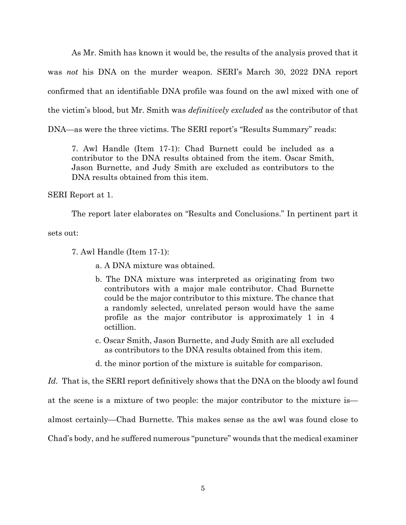As Mr. Smith has known it would be, the results of the analysis proved that it was *not* his DNA on the murder weapon. SERI's March 30, 2022 DNA report confirmed that an identifiable DNA profile was found on the awl mixed with one of the victim's blood, but Mr. Smith was *definitively excluded* as the contributor of that DNA—as were the three victims. The SERI report's "Results Summary" reads:

7. Awl Handle (Item 17-1): Chad Burnett could be included as a contributor to the DNA results obtained from the item. Oscar Smith, Jason Burnette, and Judy Smith are excluded as contributors to the DNA results obtained from this item.

SERI Report at 1.

The report later elaborates on "Results and Conclusions." In pertinent part it

sets out:

- 7. Awl Handle (Item 17-1):
	- a. A DNA mixture was obtained.
	- b. The DNA mixture was interpreted as originating from two contributors with a major male contributor. Chad Burnette could be the major contributor to this mixture. The chance that a randomly selected, unrelated person would have the same profile as the major contributor is approximately 1 in 4 octillion.
	- c. Oscar Smith, Jason Burnette, and Judy Smith are all excluded as contributors to the DNA results obtained from this item.
	- d. the minor portion of the mixture is suitable for comparison.

*Id.* That is, the SERI report definitively shows that the DNA on the bloody awl found

at the scene is a mixture of two people: the major contributor to the mixture is—

almost certainly—Chad Burnette. This makes sense as the awl was found close to

Chad's body, and he suffered numerous "puncture" wounds that the medical examiner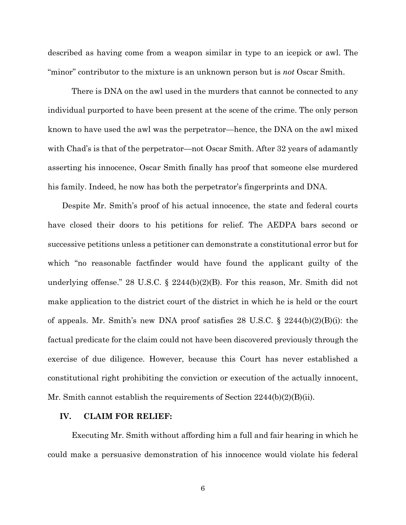described as having come from a weapon similar in type to an icepick or awl. The "minor" contributor to the mixture is an unknown person but is *not* Oscar Smith.

There is DNA on the awl used in the murders that cannot be connected to any individual purported to have been present at the scene of the crime. The only person known to have used the awl was the perpetrator—hence, the DNA on the awl mixed with Chad's is that of the perpetrator—not Oscar Smith. After 32 years of adamantly asserting his innocence, Oscar Smith finally has proof that someone else murdered his family. Indeed, he now has both the perpetrator's fingerprints and DNA.

Despite Mr. Smith's proof of his actual innocence, the state and federal courts have closed their doors to his petitions for relief. The AEDPA bars second or successive petitions unless a petitioner can demonstrate a constitutional error but for which "no reasonable factfinder would have found the applicant guilty of the underlying offense." 28 U.S.C. § 2244(b)(2)(B). For this reason, Mr. Smith did not make application to the district court of the district in which he is held or the court of appeals. Mr. Smith's new DNA proof satisfies 28 U.S.C. § 2244(b)(2)(B)(i): the factual predicate for the claim could not have been discovered previously through the exercise of due diligence. However, because this Court has never established a constitutional right prohibiting the conviction or execution of the actually innocent, Mr. Smith cannot establish the requirements of Section 2244(b)(2)(B)(ii).

### **IV. CLAIM FOR RELIEF:**

Executing Mr. Smith without affording him a full and fair hearing in which he could make a persuasive demonstration of his innocence would violate his federal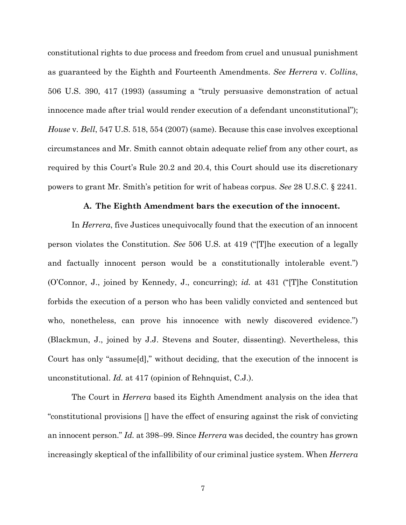constitutional rights to due process and freedom from cruel and unusual punishment as guaranteed by the Eighth and Fourteenth Amendments. *See Herrera* v. *Collins*, 506 U.S. 390, 417 (1993) (assuming a "truly persuasive demonstration of actual innocence made after trial would render execution of a defendant unconstitutional"); *House* v*. Bell*, 547 U.S. 518, 554 (2007) (same). Because this case involves exceptional circumstances and Mr. Smith cannot obtain adequate relief from any other court, as required by this Court's Rule 20.2 and 20.4, this Court should use its discretionary powers to grant Mr. Smith's petition for writ of habeas corpus. *See* 28 U.S.C. § 2241.

#### **A. The Eighth Amendment bars the execution of the innocent.**

In *Herrera*, five Justices unequivocally found that the execution of an innocent person violates the Constitution. *See* 506 U.S. at 419 ("[T]he execution of a legally and factually innocent person would be a constitutionally intolerable event.") (O'Connor, J., joined by Kennedy, J., concurring); *id.* at 431 ("[T]he Constitution forbids the execution of a person who has been validly convicted and sentenced but who, nonetheless, can prove his innocence with newly discovered evidence.") (Blackmun, J., joined by J.J. Stevens and Souter, dissenting). Nevertheless, this Court has only "assume[d]," without deciding, that the execution of the innocent is unconstitutional. *Id.* at 417 (opinion of Rehnquist, C.J.).

The Court in *Herrera* based its Eighth Amendment analysis on the idea that "constitutional provisions [] have the effect of ensuring against the risk of convicting an innocent person." *Id.* at 398–99. Since *Herrera* was decided, the country has grown increasingly skeptical of the infallibility of our criminal justice system. When *Herrera*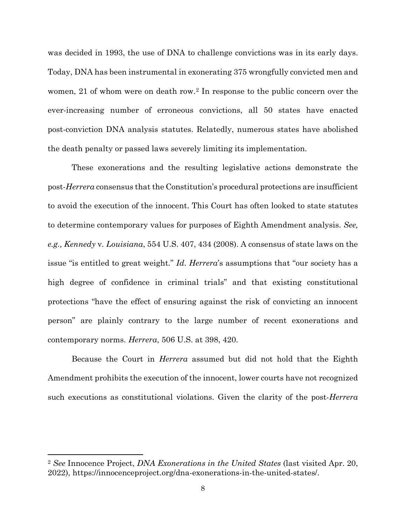was decided in 1993, the use of DNA to challenge convictions was in its early days. Today, DNA has been instrumental in exonerating 375 wrongfully convicted men and women, 21 of whom were on death row.2 In response to the public concern over the ever-increasing number of erroneous convictions, all 50 states have enacted post-conviction DNA analysis statutes. Relatedly, numerous states have abolished the death penalty or passed laws severely limiting its implementation.

These exonerations and the resulting legislative actions demonstrate the post-*Herrera* consensus that the Constitution's procedural protections are insufficient to avoid the execution of the innocent. This Court has often looked to state statutes to determine contemporary values for purposes of Eighth Amendment analysis. *See, e.g., Kennedy* v*. Louisiana*, 554 U.S. 407, 434 (2008). A consensus of state laws on the issue "is entitled to great weight." *Id*. *Herrera*'s assumptions that "our society has a high degree of confidence in criminal trials" and that existing constitutional protections "have the effect of ensuring against the risk of convicting an innocent person" are plainly contrary to the large number of recent exonerations and contemporary norms. *Herrera*, 506 U.S. at 398, 420.

Because the Court in *Herrera* assumed but did not hold that the Eighth Amendment prohibits the execution of the innocent, lower courts have not recognized such executions as constitutional violations. Given the clarity of the post-*Herrera*

<sup>2</sup> *See* Innocence Project, *DNA Exonerations in the United States* (last visited Apr. 20, 2022), https://innocenceproject.org/dna-exonerations-in-the-united-states/.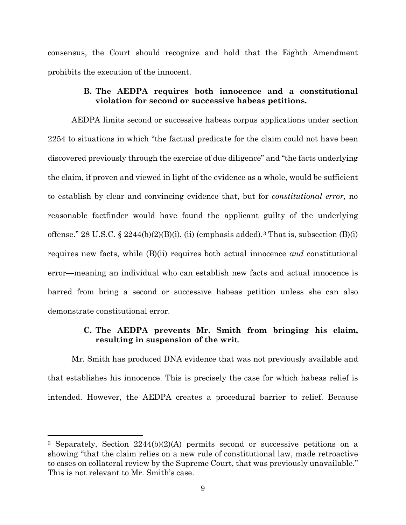consensus, the Court should recognize and hold that the Eighth Amendment prohibits the execution of the innocent.

## **B. The AEDPA requires both innocence and a constitutional violation for second or successive habeas petitions.**

AEDPA limits second or successive habeas corpus applications under section 2254 to situations in which "the factual predicate for the claim could not have been discovered previously through the exercise of due diligence" and "the facts underlying the claim, if proven and viewed in light of the evidence as a whole, would be sufficient to establish by clear and convincing evidence that, but for *constitutional error,* no reasonable factfinder would have found the applicant guilty of the underlying offense." 28 U.S.C. § 2244(b)(2)(B)(i), (ii) (emphasis added).<sup>3</sup> That is, subsection (B)(i) requires new facts, while (B)(ii) requires both actual innocence *and* constitutional error—meaning an individual who can establish new facts and actual innocence is barred from bring a second or successive habeas petition unless she can also demonstrate constitutional error.

## **C. The AEDPA prevents Mr. Smith from bringing his claim, resulting in suspension of the writ**.

Mr. Smith has produced DNA evidence that was not previously available and that establishes his innocence. This is precisely the case for which habeas relief is intended. However, the AEDPA creates a procedural barrier to relief. Because

<sup>3</sup> Separately, Section 2244(b)(2)(A) permits second or successive petitions on a showing "that the claim relies on a new rule of constitutional law, made retroactive to cases on collateral review by the Supreme Court, that was previously unavailable." This is not relevant to Mr. Smith's case.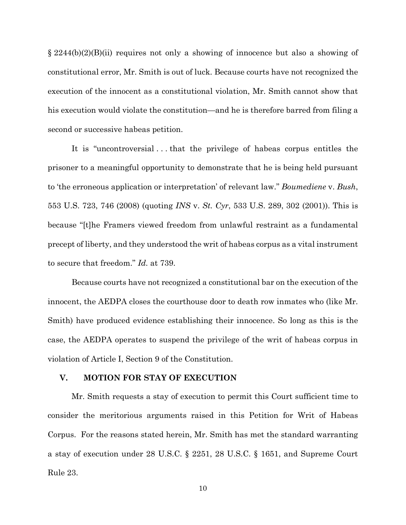$\S 2244(b)(2)(B)(ii)$  requires not only a showing of innocence but also a showing of constitutional error, Mr. Smith is out of luck. Because courts have not recognized the execution of the innocent as a constitutional violation, Mr. Smith cannot show that his execution would violate the constitution—and he is therefore barred from filing a second or successive habeas petition.

It is "uncontroversial . . . that the privilege of habeas corpus entitles the prisoner to a meaningful opportunity to demonstrate that he is being held pursuant to 'the erroneous application or interpretation' of relevant law." *Boumediene* v. *Bush*, 553 U.S. 723, 746 (2008) (quoting *INS* v. *St. Cyr*, 533 U.S. 289, 302 (2001)). This is because "[t]he Framers viewed freedom from unlawful restraint as a fundamental precept of liberty, and they understood the writ of habeas corpus as a vital instrument to secure that freedom." *Id.* at 739.

Because courts have not recognized a constitutional bar on the execution of the innocent, the AEDPA closes the courthouse door to death row inmates who (like Mr. Smith) have produced evidence establishing their innocence. So long as this is the case, the AEDPA operates to suspend the privilege of the writ of habeas corpus in violation of Article I, Section 9 of the Constitution.

### **V. MOTION FOR STAY OF EXECUTION**

Mr. Smith requests a stay of execution to permit this Court sufficient time to consider the meritorious arguments raised in this Petition for Writ of Habeas Corpus. For the reasons stated herein, Mr. Smith has met the standard warranting a stay of execution under 28 U.S.C. § 2251, 28 U.S.C. § 1651, and Supreme Court Rule 23.

10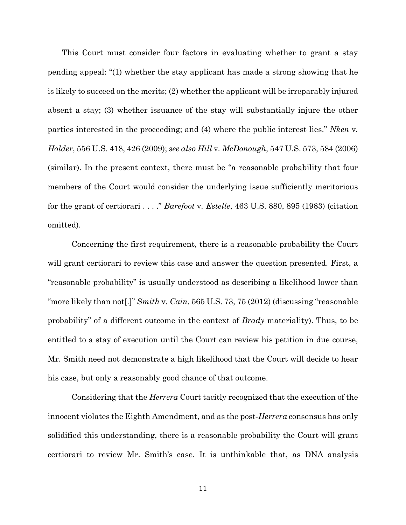This Court must consider four factors in evaluating whether to grant a stay pending appeal: "(1) whether the stay applicant has made a strong showing that he is likely to succeed on the merits; (2) whether the applicant will be irreparably injured absent a stay; (3) whether issuance of the stay will substantially injure the other parties interested in the proceeding; and (4) where the public interest lies." *Nken* v*. Holder*, 556 U.S. 418, 426 (2009); *see also Hill* v*. McDonough*, 547 U.S. 573, 584 (2006) (similar). In the present context, there must be "a reasonable probability that four members of the Court would consider the underlying issue sufficiently meritorious for the grant of certiorari . . . ." *Barefoot* v*. Estelle*, 463 U.S. 880, 895 (1983) (citation omitted).

Concerning the first requirement, there is a reasonable probability the Court will grant certiorari to review this case and answer the question presented. First, a "reasonable probability" is usually understood as describing a likelihood lower than "more likely than not[.]" *Smith* v*. Cain*, 565 U.S. 73, 75 (2012) (discussing "reasonable probability" of a different outcome in the context of *Brady* materiality). Thus, to be entitled to a stay of execution until the Court can review his petition in due course, Mr. Smith need not demonstrate a high likelihood that the Court will decide to hear his case, but only a reasonably good chance of that outcome.

Considering that the *Herrera* Court tacitly recognized that the execution of the innocent violates the Eighth Amendment, and as the post-*Herrera* consensus has only solidified this understanding, there is a reasonable probability the Court will grant certiorari to review Mr. Smith's case. It is unthinkable that, as DNA analysis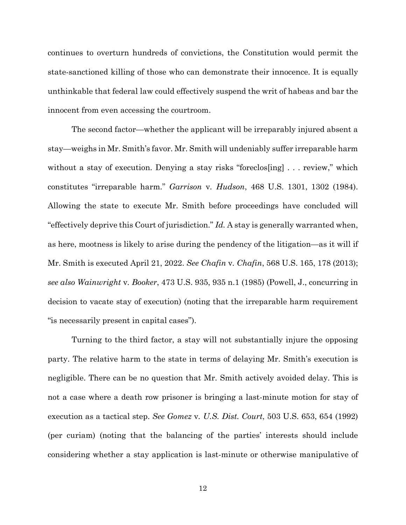continues to overturn hundreds of convictions, the Constitution would permit the state-sanctioned killing of those who can demonstrate their innocence. It is equally unthinkable that federal law could effectively suspend the writ of habeas and bar the innocent from even accessing the courtroom.

The second factor—whether the applicant will be irreparably injured absent a stay—weighs in Mr. Smith's favor. Mr. Smith will undeniably suffer irreparable harm without a stay of execution. Denying a stay risks "foreclos[ing] . . . review," which constitutes "irreparable harm." *Garrison* v*. Hudson*, 468 U.S. 1301, 1302 (1984). Allowing the state to execute Mr. Smith before proceedings have concluded will "effectively deprive this Court of jurisdiction." *Id.* A stay is generally warranted when, as here, mootness is likely to arise during the pendency of the litigation—as it will if Mr. Smith is executed April 21, 2022. *See Chafin* v*. Chafin*, 568 U.S. 165, 178 (2013); *see also Wainwright* v*. Booker*, 473 U.S. 935, 935 n.1 (1985) (Powell, J., concurring in decision to vacate stay of execution) (noting that the irreparable harm requirement "is necessarily present in capital cases").

Turning to the third factor, a stay will not substantially injure the opposing party. The relative harm to the state in terms of delaying Mr. Smith's execution is negligible. There can be no question that Mr. Smith actively avoided delay. This is not a case where a death row prisoner is bringing a last-minute motion for stay of execution as a tactical step. *See Gomez* v*. U.S. Dist. Court*, 503 U.S. 653, 654 (1992) (per curiam) (noting that the balancing of the parties' interests should include considering whether a stay application is last-minute or otherwise manipulative of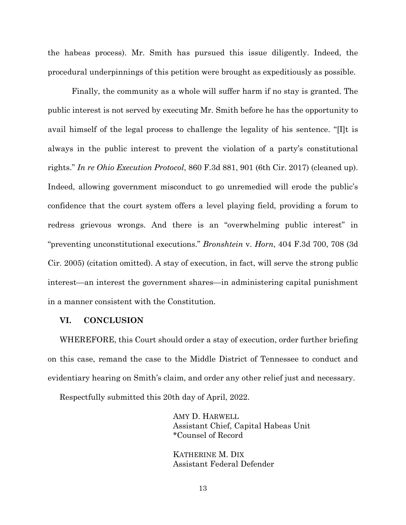the habeas process). Mr. Smith has pursued this issue diligently. Indeed, the procedural underpinnings of this petition were brought as expeditiously as possible.

Finally, the community as a whole will suffer harm if no stay is granted. The public interest is not served by executing Mr. Smith before he has the opportunity to avail himself of the legal process to challenge the legality of his sentence. "[I]t is always in the public interest to prevent the violation of a party's constitutional rights." *In re Ohio Execution Protocol*, 860 F.3d 881, 901 (6th Cir. 2017) (cleaned up). Indeed, allowing government misconduct to go unremedied will erode the public's confidence that the court system offers a level playing field, providing a forum to redress grievous wrongs. And there is an "overwhelming public interest" in "preventing unconstitutional executions." *Bronshtein* v. *Horn*, 404 F.3d 700, 708 (3d Cir. 2005) (citation omitted). A stay of execution, in fact, will serve the strong public interest—an interest the government shares—in administering capital punishment in a manner consistent with the Constitution.

#### **VI. CONCLUSION**

WHEREFORE, this Court should order a stay of execution, order further briefing on this case, remand the case to the Middle District of Tennessee to conduct and evidentiary hearing on Smith's claim, and order any other relief just and necessary.

Respectfully submitted this 20th day of April, 2022.

AMY D. HARWELL Assistant Chief, Capital Habeas Unit \*Counsel of Record

KATHERINE M. DIX Assistant Federal Defender